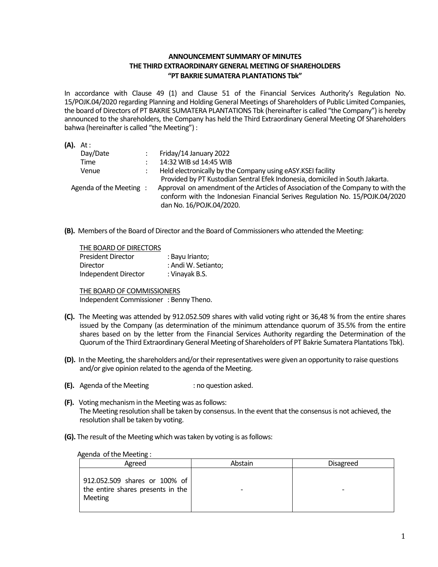## **ANNOUNCEMENT SUMMARY OF MINUTES THE THIRD EXTRAORDINARY GENERAL MEETING OF SHAREHOLDERS "PT BAKRIE SUMATERA PLANTATIONS Tbk"**

In accordance with Clause 49 (1) and Clause 51 of the Financial Services Authority's Regulation No. 15/POJK.04/2020 regarding Planning and Holding General Meetings of Shareholders of Public Limited Companies, the board of Directors of PT BAKRIE SUMATERA PLANTATIONS Tbk (hereinafter is called "the Company") is hereby announced to the shareholders, the Company has held the Third Extraordinary General Meeting Of Shareholders bahwa (hereinafter is called "the Meeting") :

| $(A)$ . At:            |                                                                                                                                                                                             |
|------------------------|---------------------------------------------------------------------------------------------------------------------------------------------------------------------------------------------|
| Day/Date               | Friday/14 January 2022                                                                                                                                                                      |
| Time                   | 14:32 WIB sd 14:45 WIB                                                                                                                                                                      |
| Venue                  | Held electronically by the Company using eASY.KSEI facility                                                                                                                                 |
|                        | Provided by PT Kustodian Sentral Efek Indonesia, domiciled in South Jakarta.                                                                                                                |
| Agenda of the Meeting: | Approval on amendment of the Articles of Association of the Company to with the<br>conform with the Indonesian Financial Serives Regulation No. 15/POJK.04/2020<br>dan No. 16/POJK.04/2020. |

**(B).** Members of the Board of Director and the Board of Commissioners who attended the Meeting:

| THE BOARD OF DIRECTORS    |                     |
|---------------------------|---------------------|
| <b>President Director</b> | : Bayu Irianto;     |
| Director                  | : Andi W. Setianto; |
| Independent Director      | : Vinayak B.S.      |

THE BOARD OF COMMISSIONERS Independent Commissioner : Benny Theno.

- **(C).** The Meeting was attended by 912.052.509 shares with valid voting right or 36,48 % from the entire shares issued by the Company (as determination of the minimum attendance quorum of 35.5% from the entire shares based on by the letter from the Financial Services Authority regarding the Determination of the Quorum of the Third Extraordinary General Meeting of Shareholders of PT Bakrie Sumatera Plantations Tbk).
- **(D).** In the Meeting, the shareholders and/or their representatives were given an opportunity to raise questions and/or give opinion related to the agenda of the Meeting.
- **(E).** Agenda of the Meeting : no question asked.
- **(F).** Voting mechanism in the Meeting was as follows: The Meeting resolution shall be taken by consensus. In the event that the consensus is not achieved, the resolution shall be taken by voting.
- **(G).** The result of the Meeting which was taken by voting is as follows:

## Agenda of the Meeting :

| Agreed                                                                        | Abstain | <b>Disagreed</b> |
|-------------------------------------------------------------------------------|---------|------------------|
| 912.052.509 shares or 100% of<br>the entire shares presents in the<br>Meeting |         |                  |